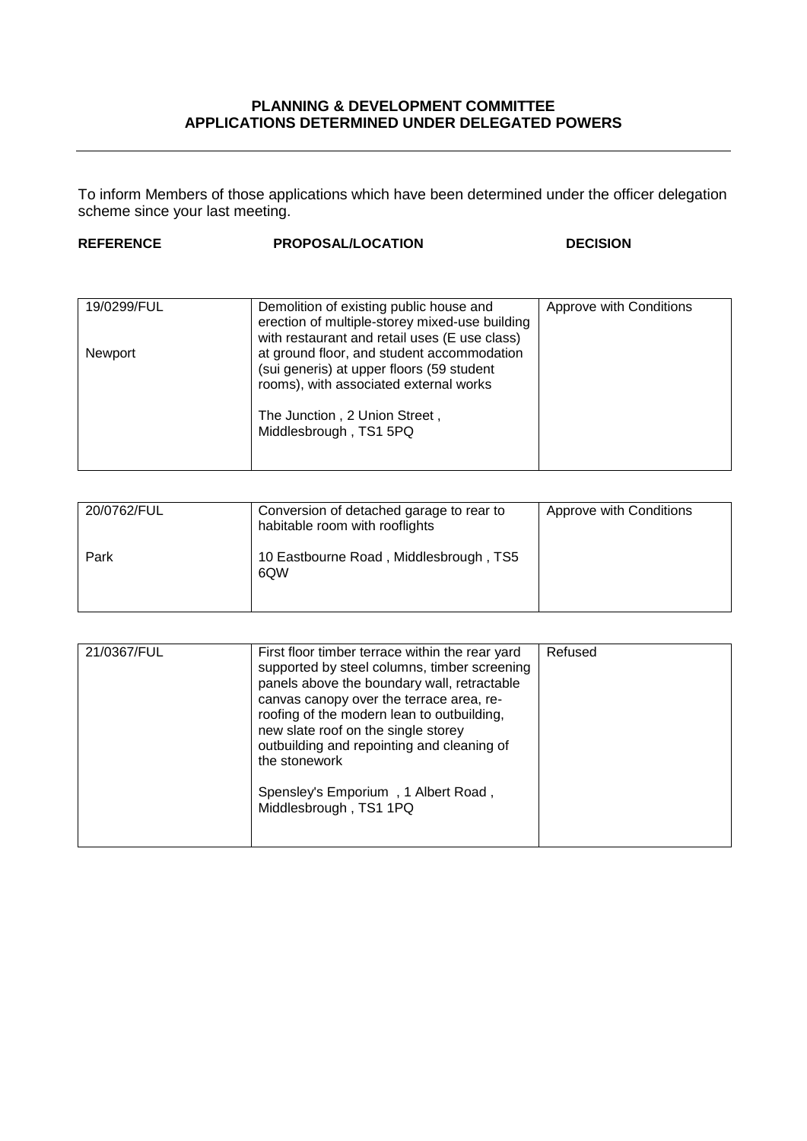## **PLANNING & DEVELOPMENT COMMITTEE APPLICATIONS DETERMINED UNDER DELEGATED POWERS**

To inform Members of those applications which have been determined under the officer delegation scheme since your last meeting.

| <b>REFERENCE</b> | <b>PROPOSAL/LOCATION</b>                                                                                                                   | <b>DECISION</b>         |
|------------------|--------------------------------------------------------------------------------------------------------------------------------------------|-------------------------|
|                  |                                                                                                                                            |                         |
| 19/0299/FUL      | Demolition of existing public house and<br>erection of multiple-storey mixed-use building<br>with restaurant and retail uses (E use class) | Approve with Conditions |
| Newport          | at ground floor, and student accommodation<br>(sui generis) at upper floors (59 student<br>rooms), with associated external works          |                         |
|                  | The Junction, 2 Union Street,<br>Middlesbrough, TS1 5PQ                                                                                    |                         |

| 20/0762/FUL | Conversion of detached garage to rear to<br>habitable room with rooflights | Approve with Conditions |
|-------------|----------------------------------------------------------------------------|-------------------------|
| Park        | 10 Eastbourne Road, Middlesbrough, TS5<br>6QW                              |                         |

| 21/0367/FUL | First floor timber terrace within the rear yard<br>supported by steel columns, timber screening<br>panels above the boundary wall, retractable<br>canvas canopy over the terrace area, re-<br>roofing of the modern lean to outbuilding,<br>new slate roof on the single storey<br>outbuilding and repointing and cleaning of<br>the stonework | Refused |
|-------------|------------------------------------------------------------------------------------------------------------------------------------------------------------------------------------------------------------------------------------------------------------------------------------------------------------------------------------------------|---------|
|             | Spensley's Emporium, 1 Albert Road,<br>Middlesbrough, TS1 1PQ                                                                                                                                                                                                                                                                                  |         |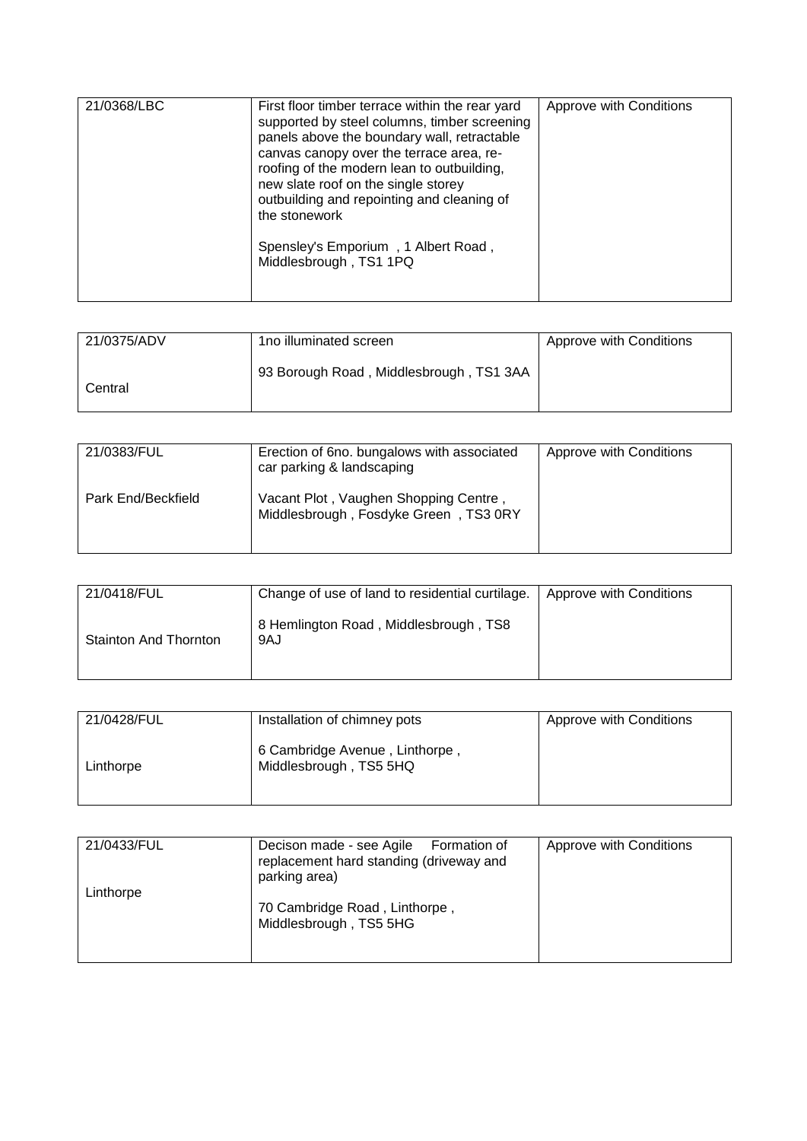| 21/0368/LBC | First floor timber terrace within the rear yard<br>supported by steel columns, timber screening<br>panels above the boundary wall, retractable<br>canvas canopy over the terrace area, re-<br>roofing of the modern lean to outbuilding,<br>new slate roof on the single storey<br>outbuilding and repointing and cleaning of<br>the stonework | Approve with Conditions |
|-------------|------------------------------------------------------------------------------------------------------------------------------------------------------------------------------------------------------------------------------------------------------------------------------------------------------------------------------------------------|-------------------------|
|             | Spensley's Emporium, 1 Albert Road,<br>Middlesbrough, TS1 1PQ                                                                                                                                                                                                                                                                                  |                         |

| 21/0375/ADV | 1no illuminated screen                  | Approve with Conditions |
|-------------|-----------------------------------------|-------------------------|
| Central     | 93 Borough Road, Middlesbrough, TS1 3AA |                         |

| 21/0383/FUL        | Erection of 6no. bungalows with associated<br>car parking & landscaping        | Approve with Conditions |
|--------------------|--------------------------------------------------------------------------------|-------------------------|
| Park End/Beckfield | Vacant Plot, Vaughen Shopping Centre,<br>Middlesbrough, Fosdyke Green, TS3 0RY |                         |

| 21/0418/FUL                  | Change of use of land to residential curtilage. | Approve with Conditions |
|------------------------------|-------------------------------------------------|-------------------------|
| <b>Stainton And Thornton</b> | 8 Hemlington Road, Middlesbrough, TS8<br>9AJ    |                         |

| 21/0428/FUL | Installation of chimney pots                             | Approve with Conditions |
|-------------|----------------------------------------------------------|-------------------------|
| Linthorpe   | 6 Cambridge Avenue, Linthorpe,<br>Middlesbrough, TS5 5HQ |                         |

| 21/0433/FUL | Decison made - see Agile Formation of<br>replacement hard standing (driveway and<br>parking area) | Approve with Conditions |
|-------------|---------------------------------------------------------------------------------------------------|-------------------------|
| Linthorpe   | 70 Cambridge Road, Linthorpe,<br>Middlesbrough, TS5 5HG                                           |                         |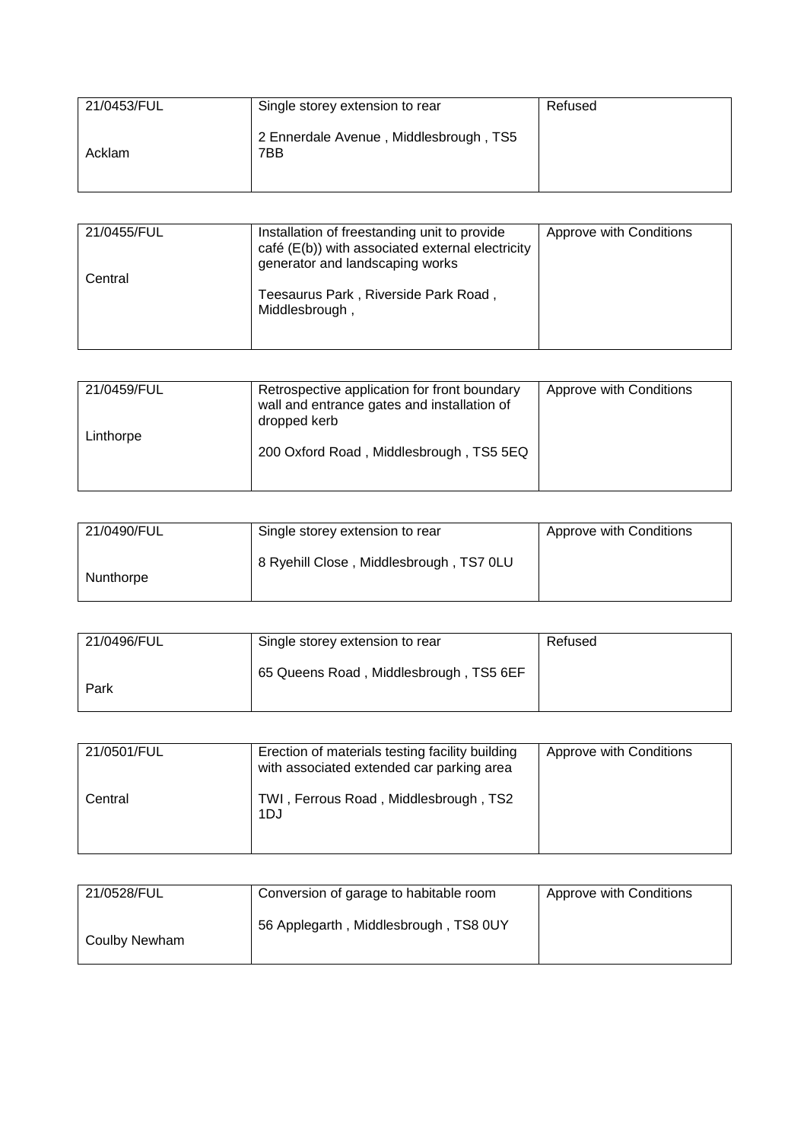| 21/0453/FUL | Single storey extension to rear               | Refused |
|-------------|-----------------------------------------------|---------|
| Acklam      | 2 Ennerdale Avenue, Middlesbrough, TS5<br>7BB |         |

| 21/0455/FUL<br>Central | Installation of freestanding unit to provide<br>café (E(b)) with associated external electricity<br>generator and landscaping works | Approve with Conditions |
|------------------------|-------------------------------------------------------------------------------------------------------------------------------------|-------------------------|
|                        | Teesaurus Park, Riverside Park Road,<br>Middlesbrough,                                                                              |                         |

| 21/0459/FUL | Retrospective application for front boundary<br>wall and entrance gates and installation of<br>dropped kerb | Approve with Conditions |
|-------------|-------------------------------------------------------------------------------------------------------------|-------------------------|
| Linthorpe   | 200 Oxford Road, Middlesbrough, TS5 5EQ                                                                     |                         |

| 21/0490/FUL | Single storey extension to rear         | Approve with Conditions |
|-------------|-----------------------------------------|-------------------------|
| Nunthorpe   | 8 Ryehill Close, Middlesbrough, TS7 0LU |                         |

| 21/0496/FUL | Single storey extension to rear        | Refused |
|-------------|----------------------------------------|---------|
| Park        | 65 Queens Road, Middlesbrough, TS5 6EF |         |

| 21/0501/FUL | Erection of materials testing facility building<br>with associated extended car parking area | Approve with Conditions |
|-------------|----------------------------------------------------------------------------------------------|-------------------------|
| Central     | TWI, Ferrous Road, Middlesbrough, TS2<br>1DJ                                                 |                         |

| 21/0528/FUL   | Conversion of garage to habitable room | Approve with Conditions |
|---------------|----------------------------------------|-------------------------|
| Coulby Newham | 56 Applegarth, Middlesbrough, TS8 0UY  |                         |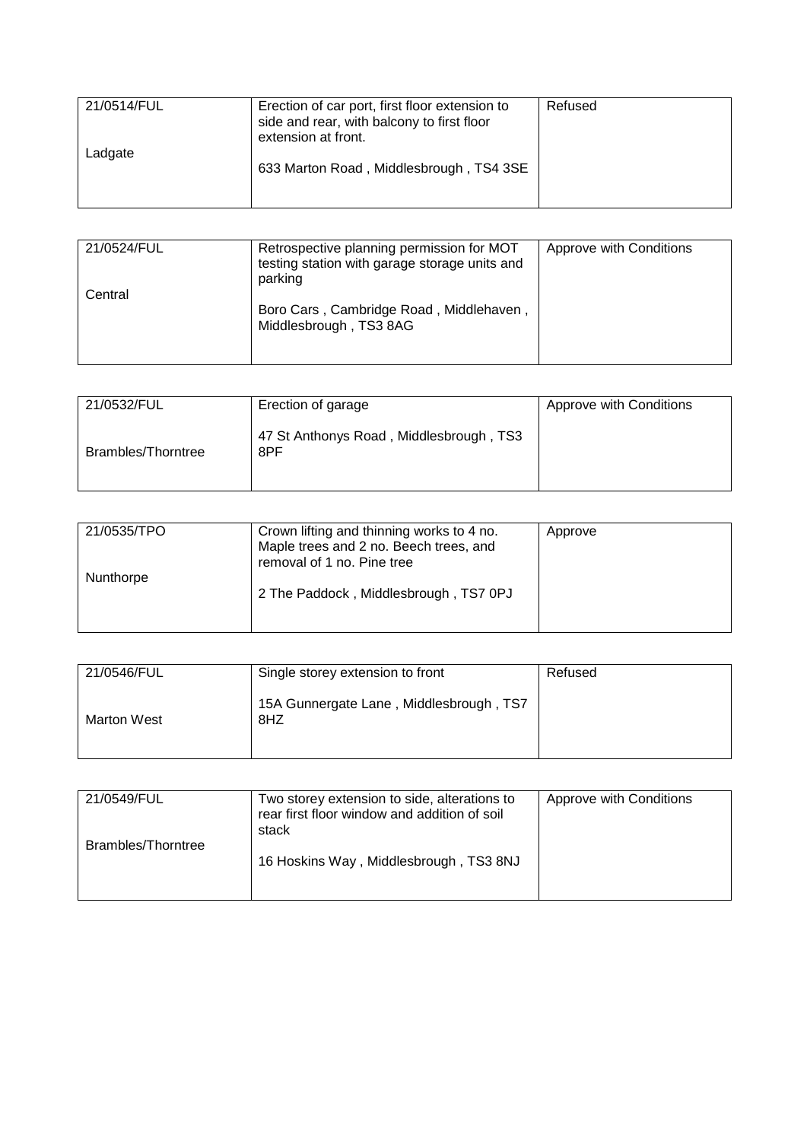| 21/0514/FUL | Erection of car port, first floor extension to<br>side and rear, with balcony to first floor<br>extension at front. | Refused |
|-------------|---------------------------------------------------------------------------------------------------------------------|---------|
| Ladgate     | 633 Marton Road, Middlesbrough, TS4 3SE                                                                             |         |

| 21/0524/FUL | Retrospective planning permission for MOT<br>testing station with garage storage units and<br>parking | Approve with Conditions |
|-------------|-------------------------------------------------------------------------------------------------------|-------------------------|
| Central     | Boro Cars, Cambridge Road, Middlehaven,<br>Middlesbrough, TS3 8AG                                     |                         |

| 21/0532/FUL               | Erection of garage                             | Approve with Conditions |
|---------------------------|------------------------------------------------|-------------------------|
| <b>Brambles/Thorntree</b> | 47 St Anthonys Road, Middlesbrough, TS3<br>8PF |                         |

| 21/0535/TPO | Crown lifting and thinning works to 4 no.<br>Maple trees and 2 no. Beech trees, and<br>removal of 1 no. Pine tree | Approve |
|-------------|-------------------------------------------------------------------------------------------------------------------|---------|
| Nunthorpe   | 2 The Paddock, Middlesbrough, TS7 0PJ                                                                             |         |

| 21/0546/FUL | Single storey extension to front               | Refused |
|-------------|------------------------------------------------|---------|
| Marton West | 15A Gunnergate Lane, Middlesbrough, TS7<br>8HZ |         |

| 21/0549/FUL        | Two storey extension to side, alterations to<br>rear first floor window and addition of soil<br>stack | Approve with Conditions |
|--------------------|-------------------------------------------------------------------------------------------------------|-------------------------|
| Brambles/Thorntree | 16 Hoskins Way, Middlesbrough, TS3 8NJ                                                                |                         |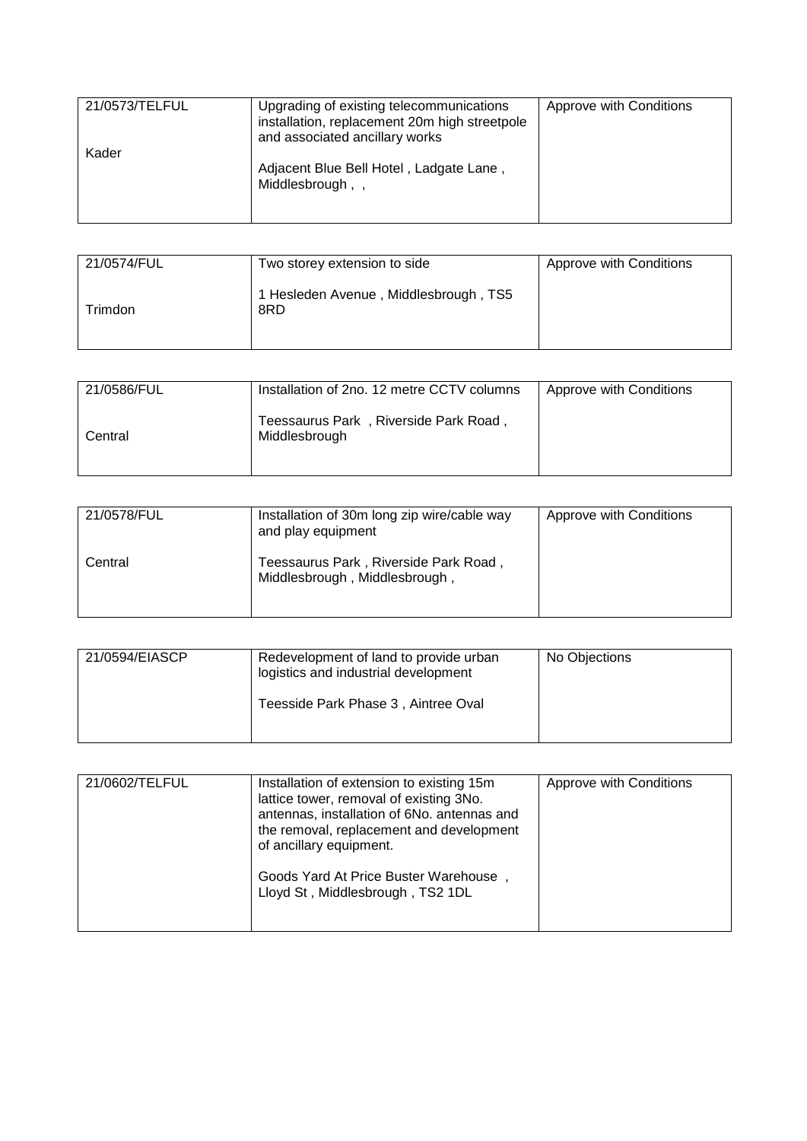| 21/0573/TELFUL<br>Kader | Upgrading of existing telecommunications<br>installation, replacement 20m high streetpole<br>and associated ancillary works | Approve with Conditions |
|-------------------------|-----------------------------------------------------------------------------------------------------------------------------|-------------------------|
|                         | Adjacent Blue Bell Hotel, Ladgate Lane,<br>Middlesbrough,,                                                                  |                         |

| 21/0574/FUL | Two storey extension to side                 | Approve with Conditions |
|-------------|----------------------------------------------|-------------------------|
| Trimdon     | 1 Hesleden Avenue, Middlesbrough, TS5<br>8RD |                         |

| 21/0586/FUL | Installation of 2no. 12 metre CCTV columns             | Approve with Conditions |
|-------------|--------------------------------------------------------|-------------------------|
| Central     | Teessaurus Park, Riverside Park Road,<br>Middlesbrough |                         |

| 21/0578/FUL | Installation of 30m long zip wire/cable way<br>and play equipment      | Approve with Conditions |
|-------------|------------------------------------------------------------------------|-------------------------|
| Central     | Teessaurus Park, Riverside Park Road,<br>Middlesbrough, Middlesbrough, |                         |

| 21/0594/EIASCP | Redevelopment of land to provide urban<br>logistics and industrial development | No Objections |
|----------------|--------------------------------------------------------------------------------|---------------|
|                | Teesside Park Phase 3, Aintree Oval                                            |               |

| 21/0602/TELFUL | Installation of extension to existing 15m<br>lattice tower, removal of existing 3No.<br>antennas, installation of 6No. antennas and<br>the removal, replacement and development<br>of ancillary equipment. | Approve with Conditions |
|----------------|------------------------------------------------------------------------------------------------------------------------------------------------------------------------------------------------------------|-------------------------|
|                | Goods Yard At Price Buster Warehouse,<br>Lloyd St, Middlesbrough, TS2 1DL                                                                                                                                  |                         |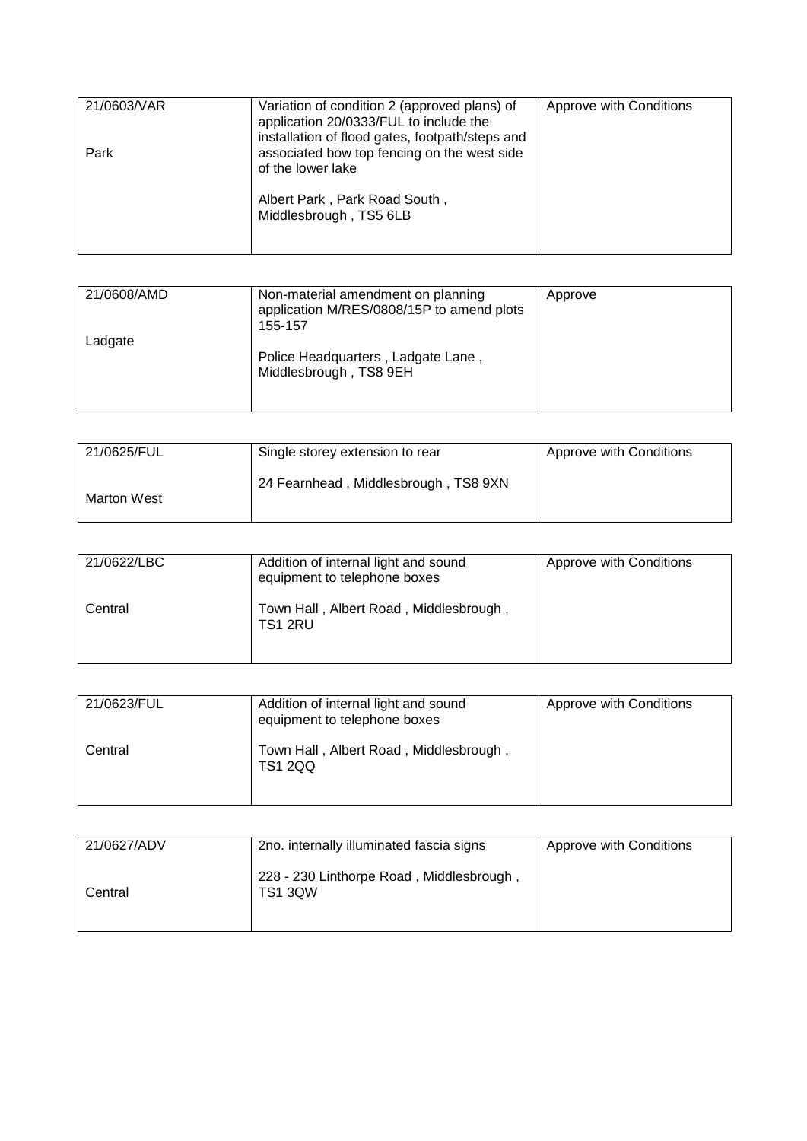| 21/0603/VAR | Variation of condition 2 (approved plans) of<br>application 20/0333/FUL to include the<br>installation of flood gates, footpath/steps and | Approve with Conditions |
|-------------|-------------------------------------------------------------------------------------------------------------------------------------------|-------------------------|
| Park        | associated bow top fencing on the west side<br>of the lower lake                                                                          |                         |
|             | Albert Park, Park Road South,<br>Middlesbrough, TS5 6LB                                                                                   |                         |

| 21/0608/AMD | Non-material amendment on planning<br>application M/RES/0808/15P to amend plots<br>155-157 | Approve |
|-------------|--------------------------------------------------------------------------------------------|---------|
| Ladgate     | Police Headquarters, Ladgate Lane,<br>Middlesbrough, TS8 9EH                               |         |

| 21/0625/FUL | Single storey extension to rear      | Approve with Conditions |
|-------------|--------------------------------------|-------------------------|
| Marton West | 24 Fearnhead, Middlesbrough, TS8 9XN |                         |

| 21/0622/LBC | Addition of internal light and sound<br>equipment to telephone boxes | Approve with Conditions |
|-------------|----------------------------------------------------------------------|-------------------------|
| Central     | Town Hall, Albert Road, Middlesbrough,<br>TS1 2RU                    |                         |

| 21/0623/FUL | Addition of internal light and sound<br>equipment to telephone boxes | Approve with Conditions |
|-------------|----------------------------------------------------------------------|-------------------------|
| Central     | Town Hall, Albert Road, Middlesbrough,<br>TS1 2QQ                    |                         |

| 21/0627/ADV | 2no. internally illuminated fascia signs                   | Approve with Conditions |
|-------------|------------------------------------------------------------|-------------------------|
| Central     | 228 - 230 Linthorpe Road, Middlesbrough,<br><b>TS1 3QW</b> |                         |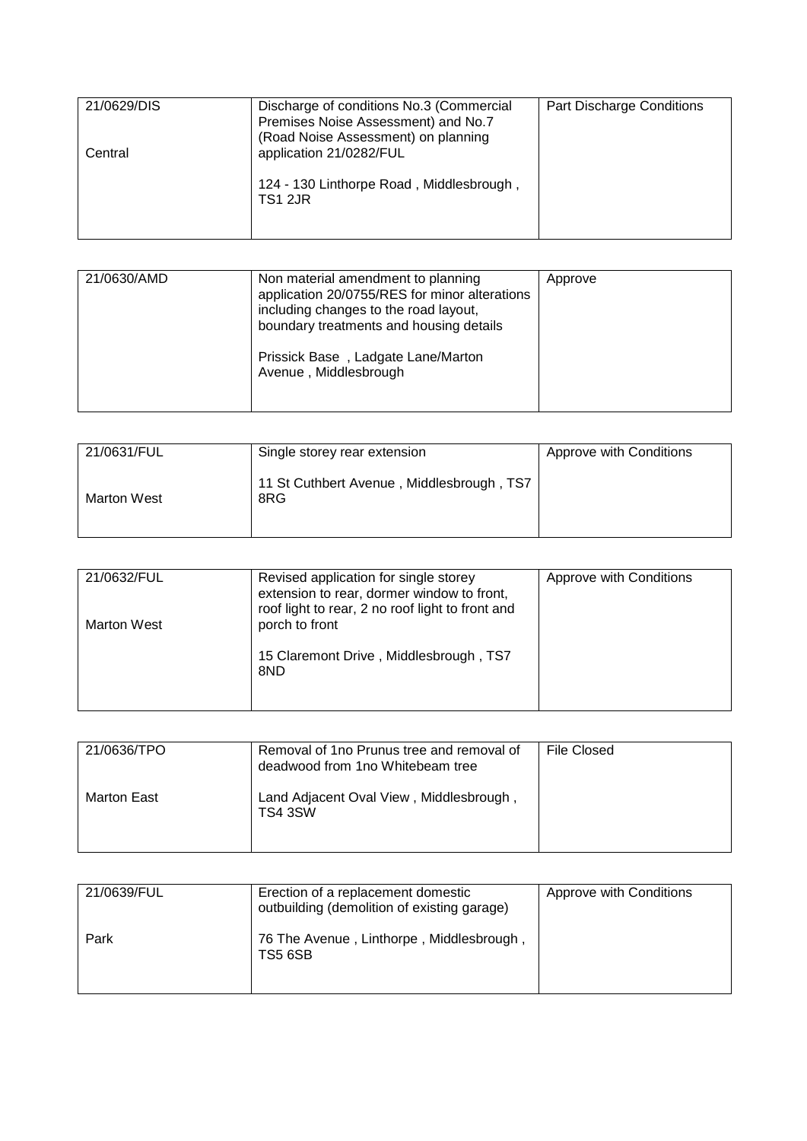| 21/0629/DIS | Discharge of conditions No.3 (Commercial                   | Part Discharge Conditions |
|-------------|------------------------------------------------------------|---------------------------|
|             | Premises Noise Assessment) and No.7                        |                           |
|             | (Road Noise Assessment) on planning                        |                           |
| Central     | application 21/0282/FUL                                    |                           |
|             |                                                            |                           |
|             | 124 - 130 Linthorpe Road, Middlesbrough,<br><b>TS1 2JR</b> |                           |
|             |                                                            |                           |
|             |                                                            |                           |

| 21/0630/AMD<br>Non material amendment to planning<br>application 20/0755/RES for minor alterations<br>including changes to the road layout,<br>boundary treatments and housing details<br>Prissick Base, Ladgate Lane/Marton<br>Avenue, Middlesbrough | Approve |
|-------------------------------------------------------------------------------------------------------------------------------------------------------------------------------------------------------------------------------------------------------|---------|
|-------------------------------------------------------------------------------------------------------------------------------------------------------------------------------------------------------------------------------------------------------|---------|

| 21/0631/FUL | Single storey rear extension                     | Approve with Conditions |
|-------------|--------------------------------------------------|-------------------------|
| Marton West | 11 St Cuthbert Avenue, Middlesbrough, TS7<br>8RG |                         |

| 21/0632/FUL        | Revised application for single storey<br>extension to rear, dormer window to front, | Approve with Conditions |
|--------------------|-------------------------------------------------------------------------------------|-------------------------|
| <b>Marton West</b> | roof light to rear, 2 no roof light to front and<br>porch to front                  |                         |
|                    | 15 Claremont Drive, Middlesbrough, TS7<br>8ND                                       |                         |

| 21/0636/TPO | Removal of 1no Prunus tree and removal of<br>deadwood from 1no Whitebeam tree | File Closed |
|-------------|-------------------------------------------------------------------------------|-------------|
| Marton East | Land Adjacent Oval View, Middlesbrough<br>TS4 3SW                             |             |

| 21/0639/FUL | Erection of a replacement domestic<br>outbuilding (demolition of existing garage) | Approve with Conditions |
|-------------|-----------------------------------------------------------------------------------|-------------------------|
| Park        | 76 The Avenue, Linthorpe, Middlesbrough,<br>TS5 6SB                               |                         |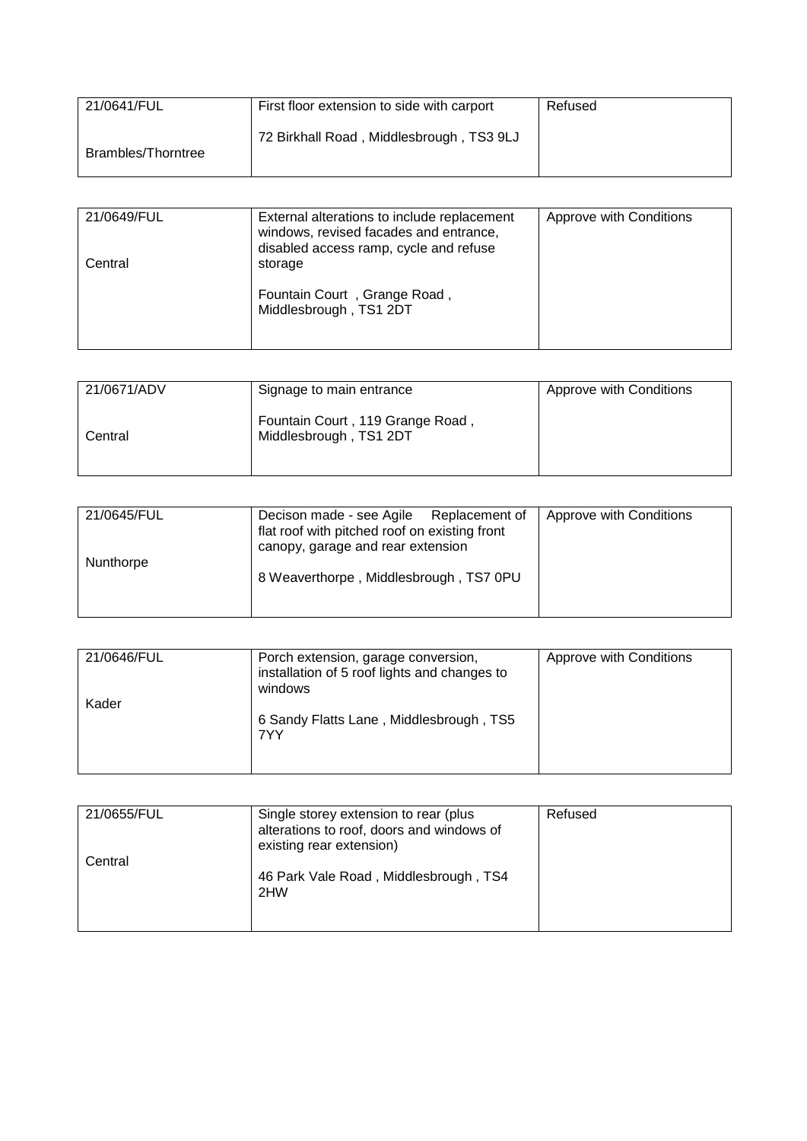| 21/0641/FUL        | First floor extension to side with carport | Refused |
|--------------------|--------------------------------------------|---------|
| Brambles/Thorntree | 72 Birkhall Road, Middlesbrough, TS3 9LJ   |         |

| 21/0649/FUL | External alterations to include replacement<br>windows, revised facades and entrance,<br>disabled access ramp, cycle and refuse | Approve with Conditions |
|-------------|---------------------------------------------------------------------------------------------------------------------------------|-------------------------|
| Central     | storage                                                                                                                         |                         |
|             | Fountain Court, Grange Road,<br>Middlesbrough, TS1 2DT                                                                          |                         |

| 21/0671/ADV | Signage to main entrance                                   | Approve with Conditions |
|-------------|------------------------------------------------------------|-------------------------|
| Central     | Fountain Court, 119 Grange Road,<br>Middlesbrough, TS1 2DT |                         |

| 21/0645/FUL | Decison made - see Agile Replacement of<br>flat roof with pitched roof on existing front<br>canopy, garage and rear extension | Approve with Conditions |
|-------------|-------------------------------------------------------------------------------------------------------------------------------|-------------------------|
| Nunthorpe   | 8 Weaverthorpe, Middlesbrough, TS7 0PU                                                                                        |                         |

| 21/0646/FUL | Porch extension, garage conversion,<br>installation of 5 roof lights and changes to<br>windows | Approve with Conditions |
|-------------|------------------------------------------------------------------------------------------------|-------------------------|
| Kader       | 6 Sandy Flatts Lane, Middlesbrough, TS5<br>7YY                                                 |                         |

| 21/0655/FUL | Single storey extension to rear (plus<br>alterations to roof, doors and windows of<br>existing rear extension) | Refused |
|-------------|----------------------------------------------------------------------------------------------------------------|---------|
| Central     | 46 Park Vale Road, Middlesbrough, TS4<br>2HW                                                                   |         |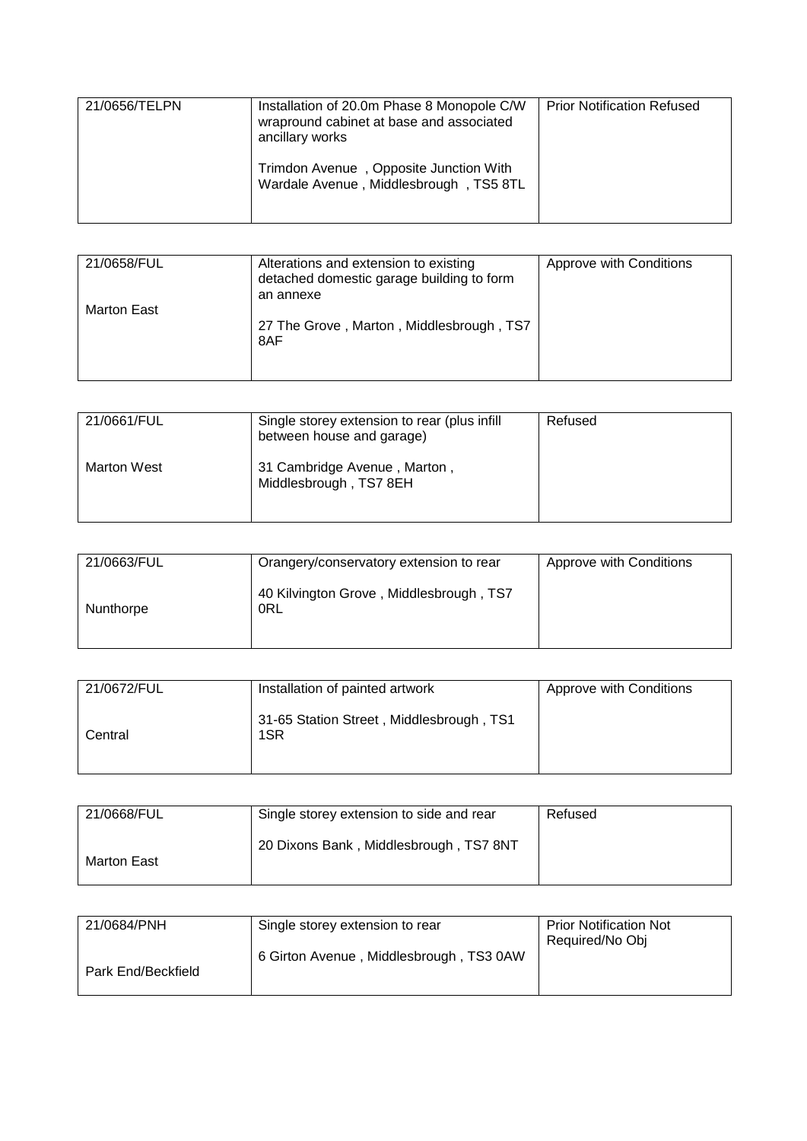| 21/0656/TELPN | Installation of 20.0m Phase 8 Monopole C/W<br>wrapround cabinet at base and associated<br>ancillary works | <b>Prior Notification Refused</b> |
|---------------|-----------------------------------------------------------------------------------------------------------|-----------------------------------|
|               | Trimdon Avenue, Opposite Junction With<br>Wardale Avenue, Middlesbrough, TS5 8TL                          |                                   |

| 21/0658/FUL | Alterations and extension to existing<br>detached domestic garage building to form<br>an annexe | Approve with Conditions |
|-------------|-------------------------------------------------------------------------------------------------|-------------------------|
| Marton East | 27 The Grove, Marton, Middlesbrough, TS7<br>8AF                                                 |                         |

| 21/0661/FUL        | Single storey extension to rear (plus infill<br>between house and garage) | Refused |
|--------------------|---------------------------------------------------------------------------|---------|
| <b>Marton West</b> | 31 Cambridge Avenue, Marton,<br>Middlesbrough, TS7 8EH                    |         |

| 21/0663/FUL | Orangery/conservatory extension to rear        | Approve with Conditions |
|-------------|------------------------------------------------|-------------------------|
| Nunthorpe   | 40 Kilvington Grove, Middlesbrough, TS7<br>0RL |                         |

| 21/0672/FUL | Installation of painted artwork                 | Approve with Conditions |
|-------------|-------------------------------------------------|-------------------------|
| Central     | 31-65 Station Street, Middlesbrough, TS1<br>1SR |                         |

| 21/0668/FUL | Single storey extension to side and rear | Refused |
|-------------|------------------------------------------|---------|
| Marton East | 20 Dixons Bank, Middlesbrough, TS7 8NT   |         |

| 21/0684/PNH        | Single storey extension to rear         | <b>Prior Notification Not</b> |
|--------------------|-----------------------------------------|-------------------------------|
|                    |                                         | Required/No Obj               |
|                    | 6 Girton Avenue, Middlesbrough, TS3 0AW |                               |
| Park End/Beckfield |                                         |                               |
|                    |                                         |                               |